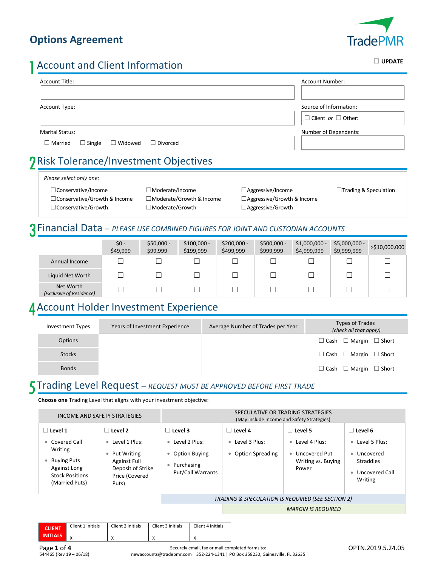#### **Options Agreement**



# 1Account and Client Information

| Account Title:                                                       | Account Number:                |
|----------------------------------------------------------------------|--------------------------------|
|                                                                      |                                |
| Account Type:                                                        | Source of Information:         |
|                                                                      | $\Box$ Client or $\Box$ Other: |
| <b>Marital Status:</b>                                               | Number of Dependents:          |
| $\Box$ Married<br>$\Box$ Single<br>$\Box$ Widowed<br>$\Box$ Divorced |                                |
| Rick Tolerance/Investment Objectives                                 |                                |

#### 2Risk Tolerance/Investment Objectives

#### *Please select only one:*

☐Conservative/Income ☐Moderate/Income ☐Aggressive/Income ☐Trading & Speculation □Conservative/Growth & Income □Moderate/Growth & Income □ ☐Conservative/Growth ☐Moderate/Growth ☐Aggressive/Growth

| ⊿Aggressive/Income                |
|-----------------------------------|
| $\Box$ Aggressive/Growth & Income |
| $\Box$ Aggressive/Growth          |

#### 3Financial Data – *PLEASE USE COMBINED FIGURES FOR JOINT AND CUSTODIAN ACCOUNTS*

|                                       | \$0 -<br>\$49,999 | $$50,000 -$<br>\$99,999 | $$100,000 -$<br>\$199,999 | $$200,000 -$<br>\$499,999 | $$500,000 -$<br>\$999,999 | $$1,000,000 -$<br>\$4,999,999 | $$5,000,000 -$<br>\$9,999,999 | >\$10,000,000 |
|---------------------------------------|-------------------|-------------------------|---------------------------|---------------------------|---------------------------|-------------------------------|-------------------------------|---------------|
| Annual Income                         |                   |                         |                           |                           |                           |                               |                               |               |
| Liquid Net Worth                      |                   |                         |                           |                           |                           |                               |                               |               |
| Net Worth<br>(Exclusive of Residence) | Γ                 |                         |                           |                           |                           |                               |                               |               |

### 4Account Holder Investment Experience

| Investment Types | Years of Investment Experience | Average Number of Trades per Year | Types of Trades<br>(check all that apply) |
|------------------|--------------------------------|-----------------------------------|-------------------------------------------|
| <b>Options</b>   |                                |                                   | $\Box$ Cash $\Box$ Margin $\Box$ Short    |
| <b>Stocks</b>    |                                |                                   | $\Box$ Cash $\Box$ Margin $\Box$ Short    |
| <b>Bonds</b>     |                                |                                   | $\Box$ Cash $\Box$ Margin $\Box$ Short    |

#### 5Trading Level Request – *REQUEST MUST BE APPROVED BEFORE FIRST TRADE*

**Choose one** Trading Level that aligns with your investment objective:

| INCOME AND SAFETY STRATEGIES                                                                                |                   | SPECULATIVE OR TRADING STRATEGIES<br>(May include Income and Safety Strategies)                   |                                                                         |                        |                                                         |                                                                                           |                                                                                          |
|-------------------------------------------------------------------------------------------------------------|-------------------|---------------------------------------------------------------------------------------------------|-------------------------------------------------------------------------|------------------------|---------------------------------------------------------|-------------------------------------------------------------------------------------------|------------------------------------------------------------------------------------------|
| $\Box$ Level 1<br>• Covered Call<br>Writing<br><b>Buying Puts</b><br>Against Long<br><b>Stock Positions</b> |                   | $\Box$ Level 2<br>• Level 1 Plus:<br>Put Writing<br>۰<br><b>Against Full</b><br>Deposit of Strike | $\Box$ Level 3<br>• Level 2 Plus:<br>• Option Buying<br>Purchasing<br>۰ | Put/Call Warrants      | $\Box$ Level 4<br>• Level 3 Plus:<br>• Option Spreading | $\Box$ Level 5<br>Level 4 Plus:<br>۰<br>Uncovered Put<br>٠<br>Writing vs. Buying<br>Power | $\Box$ Level 6<br>• Level 5 Plus:<br>• Uncovered<br><b>Straddles</b><br>• Uncovered Call |
| (Married Puts)                                                                                              |                   | Price (Covered<br>Puts)                                                                           |                                                                         |                        |                                                         |                                                                                           | Writing                                                                                  |
|                                                                                                             |                   |                                                                                                   |                                                                         |                        |                                                         | TRADING & SPECULATION IS REQUIRED (SEE SECTION 2)                                         |                                                                                          |
|                                                                                                             |                   |                                                                                                   |                                                                         |                        |                                                         | <b>MARGIN IS REQUIRED</b>                                                                 |                                                                                          |
| <b>CLIENT</b><br><b>INITIALS</b><br>X                                                                       | Client 1 Initials | Client 2 Initials<br>X                                                                            | Client 3 Initials<br>X                                                  | Client 4 Initials<br>x |                                                         |                                                                                           |                                                                                          |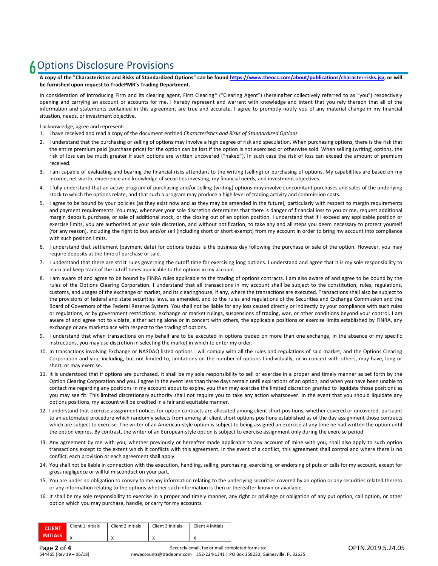### **6** Options Disclosure Provisions

**A copy of the "Characteristics and Risks of Standardized Options" can be found [https://www.theocc.com/about/publications/character-risks.jsp,](https://www.theocc.com/about/publications/character-risks.jsp) or will be furnished upon request to TradePMR's Trading Department.** 

In consideration of Introducing Firm and its clearing agent, First Clearing\* ("Clearing Agent") (hereinafter collectively referred to as "you") respectively opening and carrying an account or accounts for me, I hereby represent and warrant with knowledge and intent that you rely thereon that all of the information and statements contained in this agreement are true and accurate. I agree to promptly notify you of any material change in my financial situation, needs, or investment objective.

I acknowledge, agree and represent:

- 1. I have received and read a copy of the document entitled *Characteristics and Risks of Standardized Options*
- 2. I understand that the purchasing or selling of options may involve a high degree of risk and speculation. When purchasing options, there is the risk that the entire premium paid (purchase price) for the option can be lost if the option is not exercised or otherwise sold. When selling (writing) options, the risk of loss can be much greater if such options are written uncovered ("naked"). In such case the risk of loss can exceed the amount of premium received.
- 3. I am capable of evaluating and bearing the financial risks attendant to the writing (selling) or purchasing of options. My capabilities are based on my income, net worth, experience and knowledge of securities investing, my financial needs, and investment objectives.
- 4. I fully understand that an active program of purchasing and/or selling (writing) options may involve concomitant purchases and sales of the underlying stock to which the options relate, and that such a program may produce a high level of trading activity and commission costs.
- 5. I agree to be bound by your policies (as they exist now and as they may be amended in the future), particularly with respect to margin requirements and payment requirements. You may, whenever your sole discretion determines that there is danger of financial loss to you or me, request additional margin deposit, purchase, or sale of additional stock, or the closing out of an option position. I understand that if I exceed any applicable position or exercise limits, you are authorized at your sole discretion, and without notification, to take any and all steps you deem necessary to protect yourself (for any reason), including the right to buy and/or sell (including short or short exempt) from my account in order to bring my account into compliance with such position limits.
- 6. I understand that settlement (payment date) for options trades is the business day following the purchase or sale of the option. However, you may require deposits at the time of purchase or sale.
- 7. I understand that there are strict rules governing the cutoff time for exercising long options. I understand and agree that it is my sole responsibility to learn and keep track of the cutoff times applicable to the options in my account.
- 8. I am aware of and agree to be bound by FINRA rules applicable to the trading of options contracts. I am also aware of and agree to be bound by the rules of the Options Clearing Corporation. I understand that all transactions in my account shall be subject to the constitution, rules, regulations, customs, and usages of the exchange or market, and its clearinghouse, if any, where the transactions are executed. Transactions shall also be subject to the provisions of federal and state securities laws, as amended, and to the rules and regulations of the Securities and Exchange Commission and the Board of Governors of the Federal Reserve System. You shall not be liable for any loss caused directly or indirectly by your compliance with such rules or regulations, or by government restrictions, exchange or market rulings, suspensions of trading, war, or other conditions beyond your control. I am aware of and agree not to violate, either acting alone or in concert with others, the applicable positions or exercise limits established by FINRA, any exchange or any marketplace with respect to the trading of options.
- 9. I understand that when transactions on my behalf are to be executed in options traded on more than one exchange, in the absence of my specific instructions, you may use discretion in selecting the market in which to enter my order.
- 10. In transactions involving Exchange or NASDAQ listed options I will comply with all the rules and regulations of said market, and the Options Clearing Corporation and you, including, but not limited to, limitations on the number of options I individually, or in concert with others, may have, long or short, or may exercise.
- 11. It is understood that if options are purchased, it shall be my sole responsibility to sell or exercise in a proper and timely manner as set forth by the Option Clearing Corporation and you. I agree in the event less than three days remain until expirations of an option, and when you have been unable to contact me regarding any positions in my account about to expire, you then may exercise the limited discretion granted to liquidate those positions as you may see fit. This limited discretionary authority shall not require you to take any action whatsoever. In the event that you should liquidate any options positions, my account will be credited in a fair and equitable manner.
- 12. I understand that exercise assignment notices for option contracts are allocated among client short positions, whether covered or uncovered, pursuant to an automated procedure which randomly selects from among all client short options positions established as of the day assignment those contracts which are subject to exercise. The writer of an American-style option is subject to being assigned an exercise at any time he had written the option until the option expires. By contrast, the writer of an European-style option is subject to exercise assignment only during the exercise period.
- 13. Any agreement by me with you, whether previously or hereafter made applicable to any account of mine with you, shall also apply to such option transactions except to the extent which it conflicts with this agreement. In the event of a conflict, this agreement shall control and where there is no conflict, each provision or each agreement shall apply.
- 14. You shall not be liable in connection with the execution, handling, selling, purchasing, exercising, or endorsing of puts or calls for my account, except for gross negligence or willful misconduct on your part.
- 15. You are under no obligation to convey to me any information relating to the underlying securities covered by an option or any securities related thereto or any information relating to the options whether such information is then or thereafter known or available.
- 16. It shall be my sole responsibility to exercise in a proper and timely manner, any right or privilege or obligation of any put option, call option, or other option which you may purchase, handle, or carry for my accounts.

| <b>CLIENT</b>   | Client 1 Initials | Client 2 Initials | Client 3 Initials | Client 4 Initials |
|-----------------|-------------------|-------------------|-------------------|-------------------|
| <b>INITIALS</b> |                   |                   |                   |                   |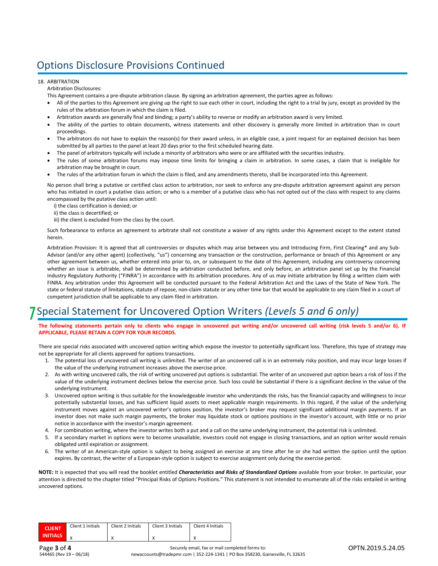### Options Disclosure Provisions Continued

#### 18. ARBITRATION

Arbitration Disclosures:

This Agreement contains a pre-dispute arbitration clause. By signing an arbitration agreement, the parties agree as follows:

- All of the parties to this Agreement are giving up the right to sue each other in court, including the right to a trial by jury, except as provided by the rules of the arbitration forum in which the claim is filed.
- Arbitration awards are generally final and binding; a party's ability to reverse or modify an arbitration award is very limited.
- The ability of the parties to obtain documents, witness statements and other discovery is generally more limited in arbitration than in court proceedings.
- The arbitrators do not have to explain the reason(s) for their award unless, in an eligible case, a joint request for an explained decision has been submitted by all parties to the panel at least 20 days prior to the first scheduled hearing date.
- The panel of arbitrators typically will include a minority of arbitrators who were or are affiliated with the securities industry.
- The rules of some arbitration forums may impose time limits for bringing a claim in arbitration. In some cases, a claim that is ineligible for arbitration may be brought in court.
- The rules of the arbitration forum in which the claim is filed, and any amendments thereto, shall be incorporated into this Agreement.

No person shall bring a putative or certified class action to arbitration, nor seek to enforce any pre-dispute arbitration agreement against any person who has initiated in court a putative class action; or who is a member of a putative class who has not opted out of the class with respect to any claims encompassed by the putative class action until:

- i) the class certification is denied; or
- ii) the class is decertified; or
- iii) the client is excluded from the class by the court.

Such forbearance to enforce an agreement to arbitrate shall not constitute a waiver of any rights under this Agreement except to the extent stated herein.

Arbitration Provision: It is agreed that all controversies or disputes which may arise between you and Introducing Firm, First Clearing\* and any Sub-Advisor (and/or any other agent) (collectively, "us") concerning any transaction or the construction, performance or breach of this Agreement or any other agreement between us, whether entered into prior to, on, or subsequent to the date of this Agreement, including any controversy concerning whether an issue is arbitrable, shall be determined by arbitration conducted before, and only before, an arbitration panel set up by the Financial Industry Regulatory Authority ("FINRA") in accordance with its arbitration procedures. Any of us may initiate arbitration by filing a written claim with FINRA. Any arbitration under this Agreement will be conducted pursuant to the Federal Arbitration Act and the Laws of the State of New York. The state or federal statute of limitations, statute of repose, non-claim statute or any other time bar that would be applicable to any claim filed in a court of competent jurisdiction shall be applicable to any claim filed in arbitration.

### 7Special Statement for Uncovered Option Writers *(Levels 5 and 6 only)*

The following statements pertain only to clients who engage in uncovered put writing and/or uncovered call writing (risk levels 5 and/or 6). IF **APPLICABLE, PLEASE RETAIN A COPY FOR YOUR RECORDS.**

There are special risks associated with uncovered option writing which expose the investor to potentially significant loss. Therefore, this type of strategy may not be appropriate for all clients approved for options transactions.

- 1. The potential loss of uncovered call writing is unlimited. The writer of an uncovered call is in an extremely risky position, and may incur large losses if the value of the underlying instrument increases above the exercise price.
- 2. As with writing uncovered calls, the risk of writing uncovered put options is substantial. The writer of an uncovered put option bears a risk of loss if the value of the underlying instrument declines below the exercise price. Such loss could be substantial if there is a significant decline in the value of the underlying instrument.
- 3. Uncovered option writing is thus suitable for the knowledgeable investor who understands the risks, has the financial capacity and willingness to incur potentially substantial losses, and has sufficient liquid assets to meet applicable margin requirements. In this regard, if the value of the underlying instrument moves against an uncovered writer's options position, the investor's broker may request significant additional margin payments. If an investor does not make such margin payments, the broker may liquidate stock or options positions in the investor's account, with little or no prior notice in accordance with the investor's margin agreement.
- 4. For combination writing, where the investor writes both a put and a call on the same underlying instrument, the potential risk is unlimited.
- 5. If a secondary market in options were to become unavailable, investors could not engage in closing transactions, and an option writer would remain obligated until expiration or assignment.
- 6. The writer of an American-style option is subject to being assigned an exercise at any time after he or she had written the option until the option expires. By contrast, the writer of a European-style option is subject to exercise assignment only during the exercise period.

NOTE: It is expected that you will read the booklet entitled *Characteristics and Risks of Standardized Options* available from your broker. In particular, your attention is directed to the chapter titled "Principal Risks of Options Positions." This statement is not intended to enumerate all of the risks entailed in writing uncovered options.

| <b>CLIENT</b>   | Client 1 Initials | Client 2 Initials | Client 3 Initials | Client 4 Initials |
|-----------------|-------------------|-------------------|-------------------|-------------------|
| <b>INITIALS</b> |                   | $\lambda$         |                   |                   |